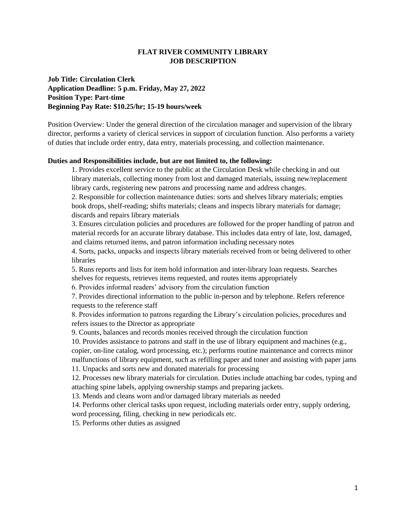## **FLAT RIVER COMMUNITY LIBRARY JOB DESCRIPTION**

**Job Title: Circulation Clerk Application Deadline: 5 p.m. Friday, May 27, 2022 Position Type: Part-time Beginning Pay Rate: \$10.25/hr; 15-19 hours/week** 

Position Overview: Under the general direction of the circulation manager and supervision of the library director, performs a variety of clerical services in support of circulation function. Also performs a variety of duties that include order entry, data entry, materials processing, and collection maintenance.

## **Duties and Responsibilities include, but are not limited to, the following:**

1. Provides excellent service to the public at the Circulation Desk while checking in and out library materials, collecting money from lost and damaged materials, issuing new/replacement library cards, registering new patrons and processing name and address changes.

2. Responsible for collection maintenance duties: sorts and shelves library materials; empties book drops, shelf-reading; shifts materials; cleans and inspects library materials for damage; discards and repairs library materials

3. Ensures circulation policies and procedures are followed for the proper handling of patron and material records for an accurate library database. This includes data entry of late, lost, damaged, and claims returned items, and patron information including necessary notes

4. Sorts, packs, unpacks and inspects library materials received from or being delivered to other libraries

5. Runs reports and lists for item hold information and inter-library loan requests. Searches shelves for requests, retrieves items requested, and routes items appropriately

6. Provides informal readers' advisory from the circulation function

7. Provides directional information to the public in-person and by telephone. Refers reference requests to the reference staff

8. Provides information to patrons regarding the Library's circulation policies, procedures and refers issues to the Director as appropriate

9. Counts, balances and records monies received through the circulation function

10. Provides assistance to patrons and staff in the use of library equipment and machines (e.g., copier, on-line catalog, word processing, etc.); performs routine maintenance and corrects minor malfunctions of library equipment, such as refilling paper and toner and assisting with paper jams

11. Unpacks and sorts new and donated materials for processing

12. Processes new library materials for circulation. Duties include attaching bar codes, typing and attaching spine labels, applying ownership stamps and preparing jackets.

13. Mends and cleans worn and/or damaged library materials as needed

14. Performs other clerical tasks upon request, including materials order entry, supply ordering, word processing, filing, checking in new periodicals etc.

15. Performs other duties as assigned